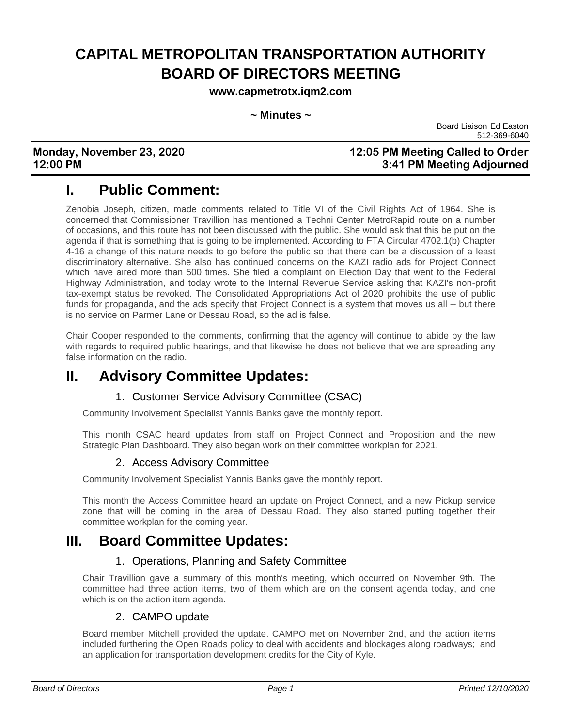# **CAPITAL METROPOLITAN TRANSPORTATION AUTHORITY BOARD OF DIRECTORS MEETING**

**www.capmetrotx.iqm2.com**

#### **~ Minutes ~**

Board Liaison Ed Easton 512-369-6040

## **Monday, November 23, 2020 12:05 PM Meeting Called to Order 12:00 PM 3:41 PM Meeting Adjourned**

# **I. Public Comment:**

Zenobia Joseph, citizen, made comments related to Title VI of the Civil Rights Act of 1964. She is concerned that Commissioner Travillion has mentioned a Techni Center MetroRapid route on a number of occasions, and this route has not been discussed with the public. She would ask that this be put on the agenda if that is something that is going to be implemented. According to FTA Circular 4702.1(b) Chapter 4-16 a change of this nature needs to go before the public so that there can be a discussion of a least discriminatory alternative. She also has continued concerns on the KAZI radio ads for Project Connect which have aired more than 500 times. She filed a complaint on Election Day that went to the Federal Highway Administration, and today wrote to the Internal Revenue Service asking that KAZI's non-profit tax-exempt status be revoked. The Consolidated Appropriations Act of 2020 prohibits the use of public funds for propaganda, and the ads specify that Project Connect is a system that moves us all -- but there is no service on Parmer Lane or Dessau Road, so the ad is false.

Chair Cooper responded to the comments, confirming that the agency will continue to abide by the law with regards to required public hearings, and that likewise he does not believe that we are spreading any false information on the radio.

# **II. Advisory Committee Updates:**

## 1. Customer Service Advisory Committee (CSAC)

Community Involvement Specialist Yannis Banks gave the monthly report.

This month CSAC heard updates from staff on Project Connect and Proposition and the new Strategic Plan Dashboard. They also began work on their committee workplan for 2021.

## 2. Access Advisory Committee

Community Involvement Specialist Yannis Banks gave the monthly report.

This month the Access Committee heard an update on Project Connect, and a new Pickup service zone that will be coming in the area of Dessau Road. They also started putting together their committee workplan for the coming year.

# **III. Board Committee Updates:**

## 1. Operations, Planning and Safety Committee

Chair Travillion gave a summary of this month's meeting, which occurred on November 9th. The committee had three action items, two of them which are on the consent agenda today, and one which is on the action item agenda.

## 2. CAMPO update

Board member Mitchell provided the update. CAMPO met on November 2nd, and the action items included furthering the Open Roads policy to deal with accidents and blockages along roadways; and an application for transportation development credits for the City of Kyle.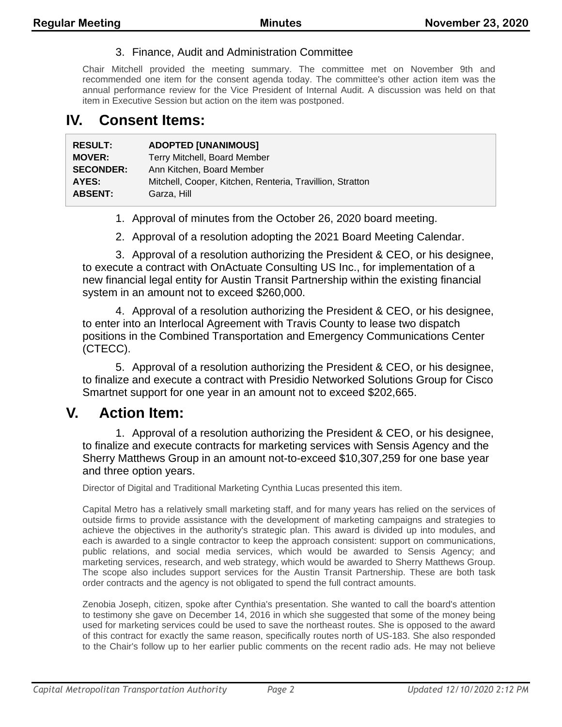## 3. Finance, Audit and Administration Committee

Chair Mitchell provided the meeting summary. The committee met on November 9th and recommended one item for the consent agenda today. The committee's other action item was the annual performance review for the Vice President of Internal Audit. A discussion was held on that item in Executive Session but action on the item was postponed.

## **IV. Consent Items:**

| <b>RESULT:</b>   | <b>ADOPTED [UNANIMOUS]</b>                                |
|------------------|-----------------------------------------------------------|
| <b>MOVER:</b>    | Terry Mitchell, Board Member                              |
| <b>SECONDER:</b> | Ann Kitchen, Board Member                                 |
| AYES:            | Mitchell, Cooper, Kitchen, Renteria, Travillion, Stratton |
| <b>ABSENT:</b>   | Garza, Hill                                               |

1. Approval of minutes from the October 26, 2020 board meeting.

2. Approval of a resolution adopting the 2021 Board Meeting Calendar.

3. Approval of a resolution authorizing the President & CEO, or his designee, to execute a contract with OnActuate Consulting US Inc., for implementation of a new financial legal entity for Austin Transit Partnership within the existing financial system in an amount not to exceed \$260,000.

4. Approval of a resolution authorizing the President & CEO, or his designee, to enter into an Interlocal Agreement with Travis County to lease two dispatch positions in the Combined Transportation and Emergency Communications Center (CTECC).

5. Approval of a resolution authorizing the President & CEO, or his designee, to finalize and execute a contract with Presidio Networked Solutions Group for Cisco Smartnet support for one year in an amount not to exceed \$202,665.

## **V. Action Item:**

1. Approval of a resolution authorizing the President & CEO, or his designee, to finalize and execute contracts for marketing services with Sensis Agency and the Sherry Matthews Group in an amount not-to-exceed \$10,307,259 for one base year and three option years.

Director of Digital and Traditional Marketing Cynthia Lucas presented this item.

Capital Metro has a relatively small marketing staff, and for many years has relied on the services of outside firms to provide assistance with the development of marketing campaigns and strategies to achieve the objectives in the authority's strategic plan. This award is divided up into modules, and each is awarded to a single contractor to keep the approach consistent: support on communications, public relations, and social media services, which would be awarded to Sensis Agency; and marketing services, research, and web strategy, which would be awarded to Sherry Matthews Group. The scope also includes support services for the Austin Transit Partnership. These are both task order contracts and the agency is not obligated to spend the full contract amounts.

Zenobia Joseph, citizen, spoke after Cynthia's presentation. She wanted to call the board's attention to testimony she gave on December 14, 2016 in which she suggested that some of the money being used for marketing services could be used to save the northeast routes. She is opposed to the award of this contract for exactly the same reason, specifically routes north of US-183. She also responded to the Chair's follow up to her earlier public comments on the recent radio ads. He may not believe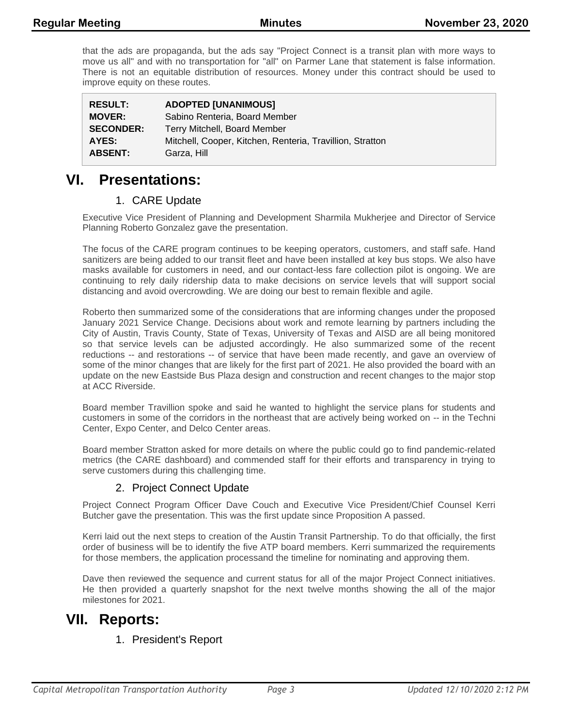that the ads are propaganda, but the ads say "Project Connect is a transit plan with more ways to move us all" and with no transportation for "all" on Parmer Lane that statement is false information. There is not an equitable distribution of resources. Money under this contract should be used to improve equity on these routes.

| <b>RESULT:</b>   | <b>ADOPTED [UNANIMOUS]</b>                                |
|------------------|-----------------------------------------------------------|
| <b>MOVER:</b>    | Sabino Renteria, Board Member                             |
| <b>SECONDER:</b> | Terry Mitchell, Board Member                              |
| AYES:            | Mitchell, Cooper, Kitchen, Renteria, Travillion, Stratton |
| <b>ABSENT:</b>   | Garza, Hill                                               |

## **VI. Presentations:**

## 1. CARE Update

Executive Vice President of Planning and Development Sharmila Mukherjee and Director of Service Planning Roberto Gonzalez gave the presentation.

The focus of the CARE program continues to be keeping operators, customers, and staff safe. Hand sanitizers are being added to our transit fleet and have been installed at key bus stops. We also have masks available for customers in need, and our contact-less fare collection pilot is ongoing. We are continuing to rely daily ridership data to make decisions on service levels that will support social distancing and avoid overcrowding. We are doing our best to remain flexible and agile.

Roberto then summarized some of the considerations that are informing changes under the proposed January 2021 Service Change. Decisions about work and remote learning by partners including the City of Austin, Travis County, State of Texas, University of Texas and AISD are all being monitored so that service levels can be adjusted accordingly. He also summarized some of the recent reductions -- and restorations -- of service that have been made recently, and gave an overview of some of the minor changes that are likely for the first part of 2021. He also provided the board with an update on the new Eastside Bus Plaza design and construction and recent changes to the major stop at ACC Riverside.

Board member Travillion spoke and said he wanted to highlight the service plans for students and customers in some of the corridors in the northeast that are actively being worked on -- in the Techni Center, Expo Center, and Delco Center areas.

Board member Stratton asked for more details on where the public could go to find pandemic-related metrics (the CARE dashboard) and commended staff for their efforts and transparency in trying to serve customers during this challenging time.

### 2. Project Connect Update

Project Connect Program Officer Dave Couch and Executive Vice President/Chief Counsel Kerri Butcher gave the presentation. This was the first update since Proposition A passed.

Kerri laid out the next steps to creation of the Austin Transit Partnership. To do that officially, the first order of business will be to identify the five ATP board members. Kerri summarized the requirements for those members, the application processand the timeline for nominating and approving them.

Dave then reviewed the sequence and current status for all of the major Project Connect initiatives. He then provided a quarterly snapshot for the next twelve months showing the all of the major milestones for 2021.

# **VII. Reports:**

## 1. President's Report